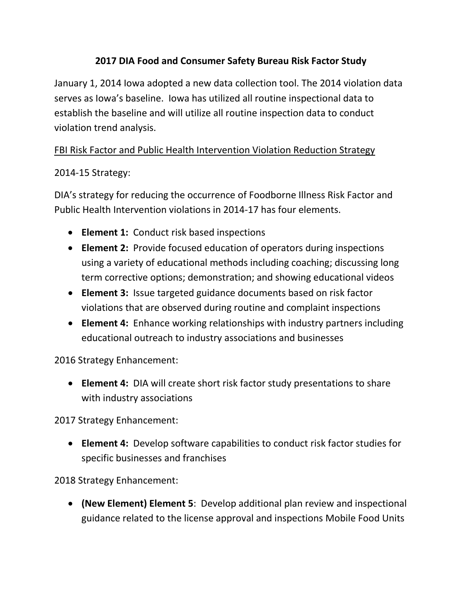### **2017 DIA Food and Consumer Safety Bureau Risk Factor Study**

January 1, 2014 Iowa adopted a new data collection tool. The 2014 violation data serves as Iowa's baseline. Iowa has utilized all routine inspectional data to establish the baseline and will utilize all routine inspection data to conduct violation trend analysis.

### FBI Risk Factor and Public Health Intervention Violation Reduction Strategy

### 2014-15 Strategy:

DIA's strategy for reducing the occurrence of Foodborne Illness Risk Factor and Public Health Intervention violations in 2014-17 has four elements.

- **Element 1:** Conduct risk based inspections
- **Element 2:** Provide focused education of operators during inspections using a variety of educational methods including coaching; discussing long term corrective options; demonstration; and showing educational videos
- **Element 3:** Issue targeted guidance documents based on risk factor violations that are observed during routine and complaint inspections
- **Element 4:** Enhance working relationships with industry partners including educational outreach to industry associations and businesses

2016 Strategy Enhancement:

• **Element 4:** DIA will create short risk factor study presentations to share with industry associations

2017 Strategy Enhancement:

• **Element 4:** Develop software capabilities to conduct risk factor studies for specific businesses and franchises

2018 Strategy Enhancement:

• **(New Element) Element 5**: Develop additional plan review and inspectional guidance related to the license approval and inspections Mobile Food Units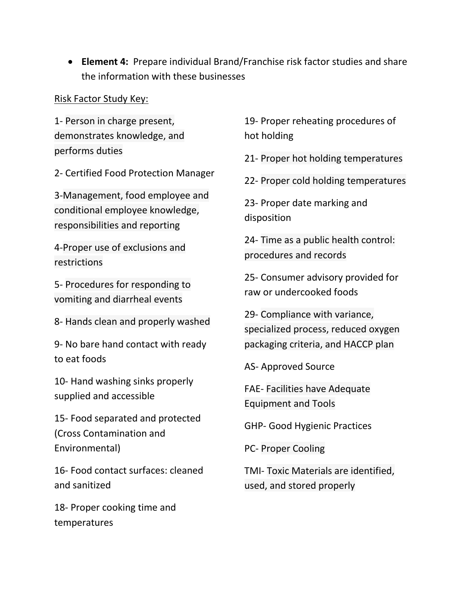• **Element 4:** Prepare individual Brand/Franchise risk factor studies and share the information with these businesses

#### Risk Factor Study Key:

1- Person in charge present, demonstrates knowledge, and performs duties

2- Certified Food Protection Manager

3-Management, food employee and conditional employee knowledge, responsibilities and reporting

4-Proper use of exclusions and restrictions

5- Procedures for responding to vomiting and diarrheal events

8- Hands clean and properly washed

9- No bare hand contact with ready to eat foods

10- Hand washing sinks properly supplied and accessible

15- Food separated and protected (Cross Contamination and Environmental)

16- Food contact surfaces: cleaned and sanitized

18- Proper cooking time and temperatures

19- Proper reheating procedures of hot holding

21- Proper hot holding temperatures

22- Proper cold holding temperatures

23- Proper date marking and disposition

24- Time as a public health control: procedures and records

25- Consumer advisory provided for raw or undercooked foods

29- Compliance with variance, specialized process, reduced oxygen packaging criteria, and HACCP plan

AS- Approved Source

FAE- Facilities have Adequate Equipment and Tools

GHP- Good Hygienic Practices

PC- Proper Cooling

TMI- Toxic Materials are identified, used, and stored properly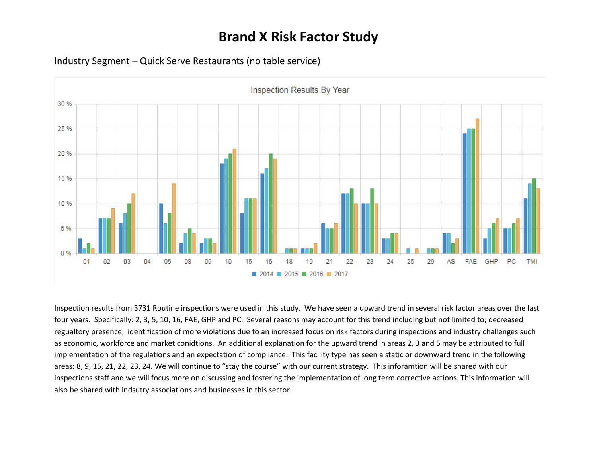

Industry Segment – Quick Serve Restaurants (no table service)

Inspection results from 3731 Routine inspections were used in this study. We have seen a upward trend in several risk factor areas over the last four years. Specifically: 2, 3, 5, 10, 16, FAE, GHP and PC. Several reasons may account for this trend including but not limited to; decreased regualtory presence, identification of more violations due to an increased focus on risk factors during inspections and industry challenges such as economic, workforce and market conidtions. An additional explanation for the upward trend in areas 2, 3 and 5 may be attributed to full implementation of the regulations and an expectation of compliance. This facility type has seen a static or downward trend in the following areas: 8, 9, 15, 21, 22, 23, 24. We will continue to "stay the course" with our current strategy. This inforamtion will be shared with our inspections staff and we will focus more on discussing and fostering the implementation of long term corrective actions. This information will also be shared with indsutry associations and businesses in this sector.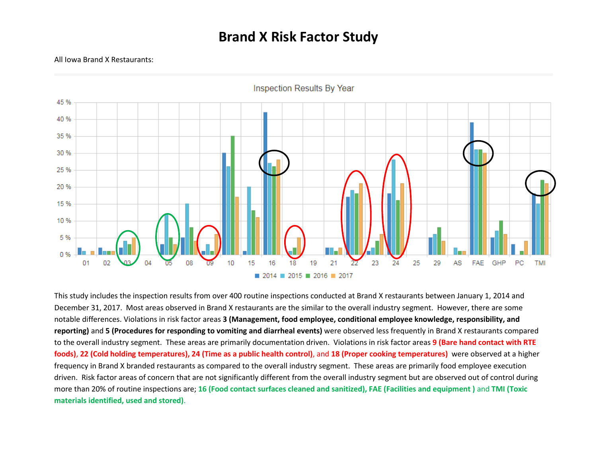#### All Iowa Brand X Restaurants:



**Inspection Results By Year** 

This study includes the inspection results from over 400 routine inspections conducted at Brand X restaurants between January 1, 2014 and December 31, 2017. Most areas observed in Brand X restaurants are the similar to the overall industry segment. However, there are some notable differences. Violations in risk factor areas **3 (Management, food employee, conditional employee knowledge, responsibility, and reporting)** and **5 (Procedures for responding to vomiting and diarrheal events)** were observed less frequently in Brand X restaurants compared to the overall industry segment. These areas are primarily documentation driven. Violations in risk factor areas **9 (Bare hand contact with RTE foods)**, **22 (Cold holding temperatures), 24 (Time as a public health control)**, and **18 (Proper cooking temperatures)** were observed at a higher frequency in Brand X branded restaurants as compared to the overall industry segment. These areas are primarily food employee execution driven. Risk factor areas of concern that are not significantly different from the overall industry segment but are observed out of control during more than 20% of routine inspections are; **16 (Food contact surfaces cleaned and sanitized), FAE (Facilities and equipment )** and **TMI (Toxic materials identified, used and stored)**.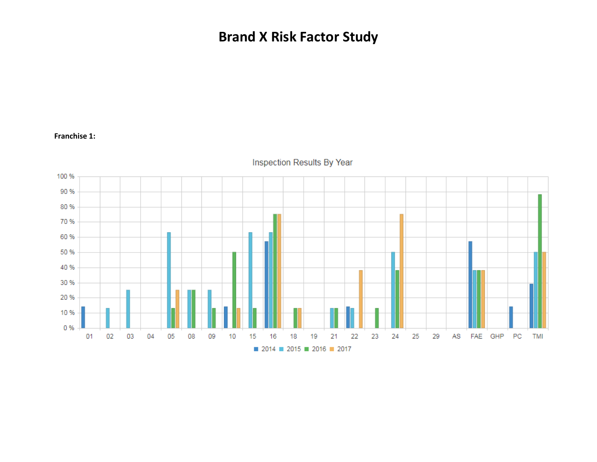#### **Franchise 1:**



Inspection Results By Year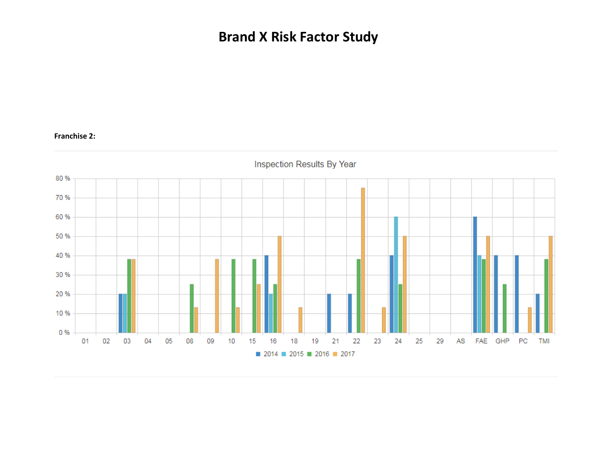#### **Franchise 2:**

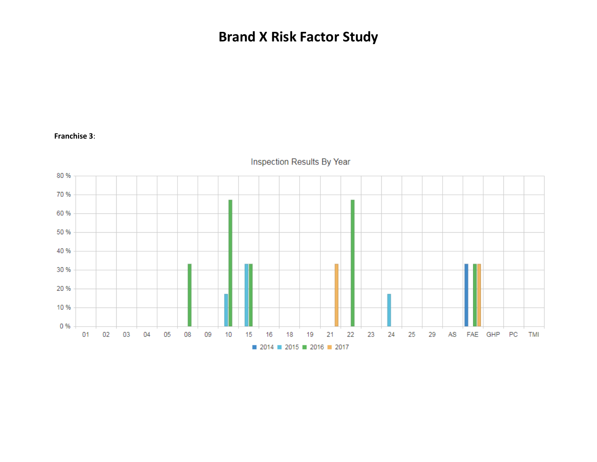#### **Franchise 3**:

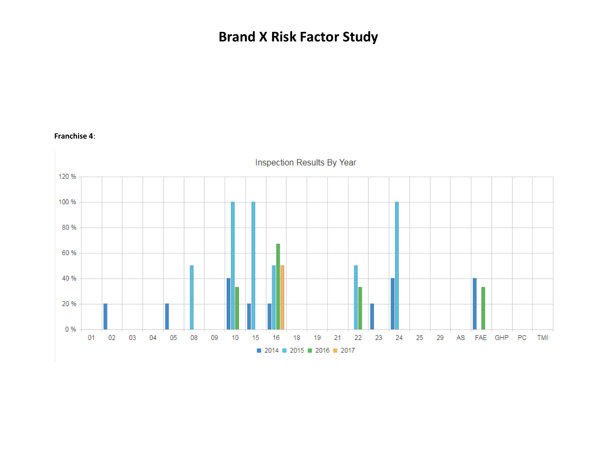

#### **Franchise 4**: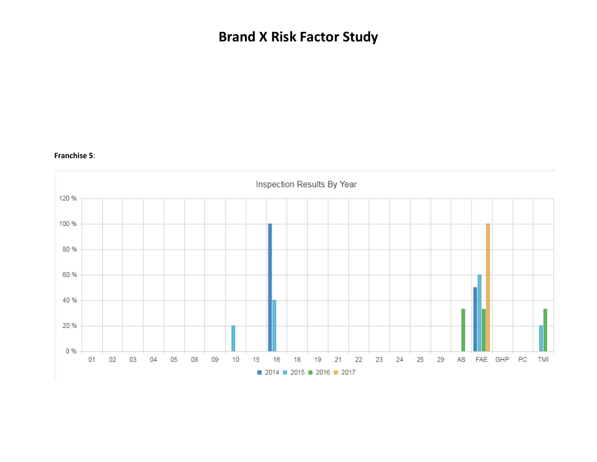#### **Franchise 5**: